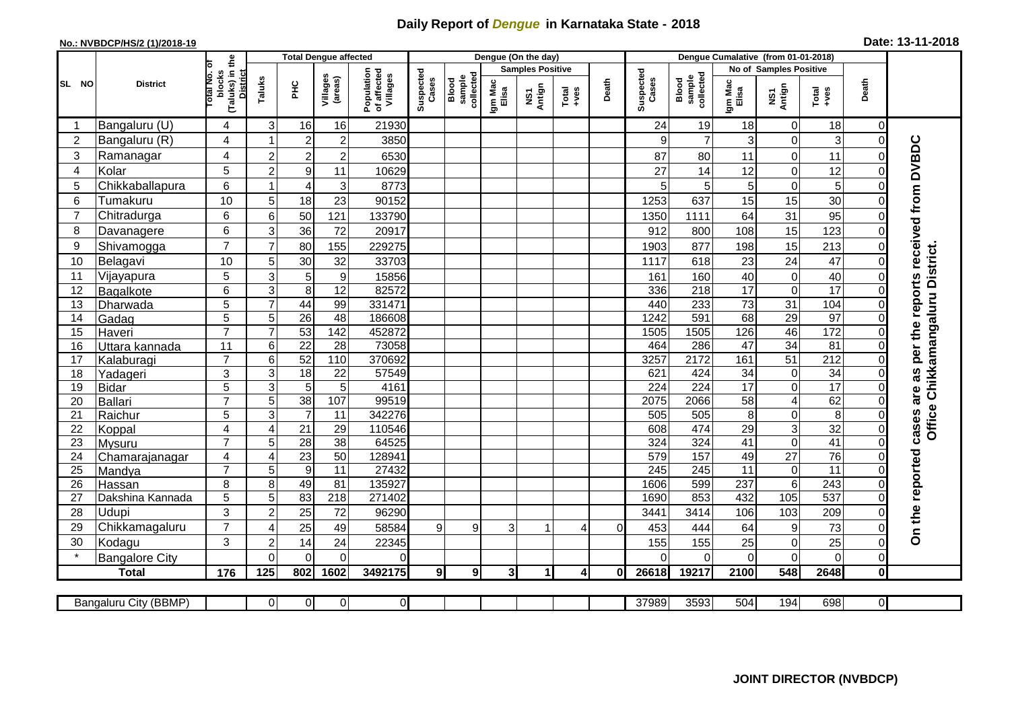## **Daily Report of** *Dengue* **in Karnataka State - 2018**

## **No.: NVBDCP/HS/2 (1)/2018-19 Date: 13-11-2018**

|                | <b>District</b>              |                                                      | <b>Total Dengue affected</b> |                      |                     |                                       |                    |                              |                         | Dengue (On the day) |                  |          |                    |                                     |                        |                              |                      |                            |                                            |
|----------------|------------------------------|------------------------------------------------------|------------------------------|----------------------|---------------------|---------------------------------------|--------------------|------------------------------|-------------------------|---------------------|------------------|----------|--------------------|-------------------------------------|------------------------|------------------------------|----------------------|----------------------------|--------------------------------------------|
|                |                              |                                                      |                              |                      |                     | Population<br>of affected<br>Villages |                    |                              | <b>Samples Positive</b> |                     |                  |          |                    |                                     | No of Samples Positive |                              |                      |                            |                                            |
| SL NO          |                              | (Taluks) in the<br>District<br>otal No. of<br>blocks | Taluks                       | Ξ                    | Villages<br>(areas) |                                       | Suspected<br>Cases | Blood<br>sample<br>collected | Igm Mac<br>Elisa        | NS1<br>Antign       | $Tota$<br>$+ves$ | Death    | Suspected<br>Cases | collected<br><b>Blood</b><br>sample | Igm Mac<br>Elisa       | NS1<br>Antign                | Total<br>$+ve$ s     | Death                      |                                            |
|                | Bangaluru (U)                | $\overline{4}$                                       | 3                            | 16                   | 16                  | 21930                                 |                    |                              |                         |                     |                  |          | 24                 | 19                                  | 18                     | 0                            | 18                   | $\mathbf 0$                |                                            |
| $\overline{2}$ | Bangaluru (R)                | 4                                                    |                              | $\overline{2}$       | $\overline{c}$      | 3850                                  |                    |                              |                         |                     |                  |          | 9                  | $\overline{7}$                      | 3                      | 0                            | 3                    | $\mathbf 0$                |                                            |
| 3              | Ramanagar                    | 4                                                    | $\overline{2}$               | $\overline{2}$       | $\overline{c}$      | 6530                                  |                    |                              |                         |                     |                  |          | 87                 | 80                                  | 11                     | $\mathbf 0$                  | 11                   | $\Omega$                   | are as per the reports received from DVBDC |
| 4              | Kolar                        | 5                                                    | $\overline{c}$               | $\boldsymbol{9}$     | 11                  | 10629                                 |                    |                              |                         |                     |                  |          | 27                 | 14                                  | 12                     | 0                            | 12                   | $\mathbf 0$                |                                            |
| 5              | Chikkaballapura              | 6                                                    |                              | $\overline{4}$       | 3                   | 8773                                  |                    |                              |                         |                     |                  |          | 5                  | 5                                   | 5                      | 0                            | 5                    | 0                          |                                            |
| 6              | Tumakuru                     | 10                                                   | 5                            | 18                   | 23                  | 90152                                 |                    |                              |                         |                     |                  |          | 1253               | 637                                 | 15                     | 15                           | 30                   | $\Omega$                   |                                            |
| $\overline{7}$ | Chitradurga                  | 6                                                    | 6                            | 50                   | 121                 | 133790                                |                    |                              |                         |                     |                  |          | 1350               | 1111                                | 64                     | 31                           | 95                   | 0                          |                                            |
| 8              | Davanagere                   | 6                                                    | 3                            | 36                   | 72                  | 20917                                 |                    |                              |                         |                     |                  |          | 912                | 800                                 | 108                    | 15                           | 123                  | $\mathbf 0$                |                                            |
| 9              | Shivamogga                   | $\overline{7}$                                       | $\overline{7}$               | 80                   | 155                 | 229275                                |                    |                              |                         |                     |                  |          | 1903               | 877                                 | 198                    | 15                           | 213                  | $\mathbf 0$                |                                            |
| 10             | Belagavi                     | 10                                                   | 5                            | 30                   | 32                  | 33703                                 |                    |                              |                         |                     |                  |          | 1117               | 618                                 | 23                     | 24                           | 47                   | $\mathbf 0$                | Chikkamangaluru District.                  |
| 11             | Vijayapura                   | 5                                                    | 3                            | 5                    | $\boldsymbol{9}$    | 15856                                 |                    |                              |                         |                     |                  |          | 161                | 160                                 | 40                     | 0                            | 40                   | $\mathbf 0$                |                                            |
| 12             | Bagalkote                    | $6\phantom{1}$                                       | 3                            | 8                    | 12                  | 82572                                 |                    |                              |                         |                     |                  |          | 336                | 218                                 | 17                     | 0                            | 17                   | $\Omega$                   |                                            |
| 13             | Dharwada                     | 5                                                    | $\overline{7}$               | 44                   | 99                  | 331471                                |                    |                              |                         |                     |                  |          | 440                | 233                                 | 73                     | $\overline{31}$              | 104                  | $\mathbf 0$                |                                            |
| 14             | Gadag                        | $\overline{5}$                                       | 5                            | $\overline{26}$      | 48                  | 186608                                |                    |                              |                         |                     |                  |          | 1242               | 591                                 | 68                     | 29                           | 97                   | $\mathbf 0$                |                                            |
| 15             | Haveri                       | $\overline{7}$                                       | $\overline{7}$               | 53                   | $\overline{142}$    | 452872                                |                    |                              |                         |                     |                  |          | 1505               | 1505                                | 126                    | 46                           | $\frac{1}{172}$      | $\mathbf 0$                |                                            |
| 16             | Uttara kannada               | 11                                                   | 6                            | $\overline{22}$      | 28                  | 73058                                 |                    |                              |                         |                     |                  |          | 464                | 286                                 | $\overline{47}$        | 34                           | $\overline{81}$      | $\Omega$                   |                                            |
| 17             | Kalaburagi                   | $\overline{7}$                                       | 6                            | 52                   | 110                 | 370692                                |                    |                              |                         |                     |                  |          | 3257               | 2172                                | 161                    | $\overline{51}$              | $\overline{212}$     | $\mathbf 0$                |                                            |
| 18             | Yadageri                     | 3                                                    | 3                            | 18                   | 22                  | 57549                                 |                    |                              |                         |                     |                  |          | 621                | 424                                 | 34                     | $\boldsymbol{0}$             | $\overline{34}$      | $\mathbf 0$                |                                            |
| 19             | Bidar                        | $\overline{5}$                                       | 3                            | $\overline{5}$       | $\overline{5}$      | 4161                                  |                    |                              |                         |                     |                  |          | 224                | 224                                 | 17                     | $\overline{0}$               | 17                   | $\Omega$                   |                                            |
| 20             | Ballari                      | $\overline{7}$<br>$\overline{5}$                     | 5                            | 38<br>$\overline{7}$ | 107<br>11           | 99519<br>342276                       |                    |                              |                         |                     |                  |          | 2075<br>505        | 2066<br>505                         | 58                     | $\overline{\mathbf{4}}$<br>0 | 62<br>$\overline{8}$ | $\mathbf 0$                | Office                                     |
| 21<br>22       | Raichur                      | $\overline{4}$                                       | 3<br>$\overline{4}$          | $\overline{21}$      | 29                  | 110546                                |                    |                              |                         |                     |                  |          | 608                | 474                                 | 8<br>29                | 3                            | 32                   | $\mathbf 0$<br>$\mathbf 0$ |                                            |
| 23             | Koppal<br>Mysuru             | $\overline{7}$                                       | 5                            | $\overline{28}$      | $\overline{38}$     | 64525                                 |                    |                              |                         |                     |                  |          | 324                | 324                                 | 41                     | $\overline{0}$               | 41                   | $\overline{0}$             | cases                                      |
| 24             | Chamarajanagar               | $\overline{4}$                                       | $\overline{4}$               | 23                   | 50                  | 128941                                |                    |                              |                         |                     |                  |          | 579                | 157                                 | 49                     | $\overline{27}$              | 76                   | $\mathbf 0$                |                                            |
| 25             | Mandya                       | $\overline{7}$                                       | 5                            | $\overline{9}$       | 11                  | 27432                                 |                    |                              |                         |                     |                  |          | 245                | $\overline{245}$                    | 11                     | $\pmb{0}$                    | $\overline{11}$      | $\Omega$                   |                                            |
| 26             | Hassan                       | 8                                                    | 8                            | 49                   | 81                  | 135927                                |                    |                              |                         |                     |                  |          | 1606               | 599                                 | 237                    | $\overline{6}$               | 243                  | $\mathbf 0$                |                                            |
| 27             | Dakshina Kannada             | 5                                                    | 5                            | 83                   | 218                 | 271402                                |                    |                              |                         |                     |                  |          | 1690               | 853                                 | 432                    | 105                          | 537                  | $\mathbf 0$                |                                            |
| 28             | Udupi                        | 3                                                    | $\overline{2}$               | 25                   | 72                  | 96290                                 |                    |                              |                         |                     |                  |          | 3441               | 3414                                | 106                    | 103                          | 209                  | $\Omega$                   |                                            |
| 29             | Chikkamagaluru               | $\overline{7}$                                       | 4                            | 25                   | 49                  | 58584                                 | 9                  | $\overline{9}$               | 3                       |                     | 4                | $\Omega$ | 453                | 444                                 | 64                     | 9                            | 73                   | 0                          | On the reported                            |
| 30             | Kodagu                       | 3                                                    | $\overline{2}$               | 14                   | 24                  | 22345                                 |                    |                              |                         |                     |                  |          | 155                | 155                                 | 25                     | 0                            | 25                   | $\mathbf 0$                |                                            |
|                | <b>Bangalore City</b>        |                                                      | $\mathbf{0}$                 | $\Omega$             | $\Omega$            | $\Omega$                              |                    |                              |                         |                     |                  |          | ∩                  | $\Omega$                            | $\Omega$               | $\overline{0}$               | $\mathbf 0$          | $\mathbf 0$                |                                            |
|                | <b>Total</b>                 | 176                                                  | 125                          | 802                  | 1602                | 3492175                               | 91                 | 9 <sup>1</sup>               | 3 <sup>l</sup>          | 1                   | $\overline{4}$   | Οl       | 26618              | 19217                               | 2100                   | $\overline{548}$             | 2648                 | $\mathbf 0$                |                                            |
|                |                              |                                                      |                              |                      |                     |                                       |                    |                              |                         |                     |                  |          |                    |                                     |                        |                              |                      |                            |                                            |
|                | <b>Bangaluru City (BBMP)</b> |                                                      | $\overline{0}$               | $\overline{0}$       | 0                   | 0                                     |                    |                              |                         |                     |                  |          | 37989              | 3593                                | 504                    | 194                          | 698                  | $\overline{0}$             |                                            |